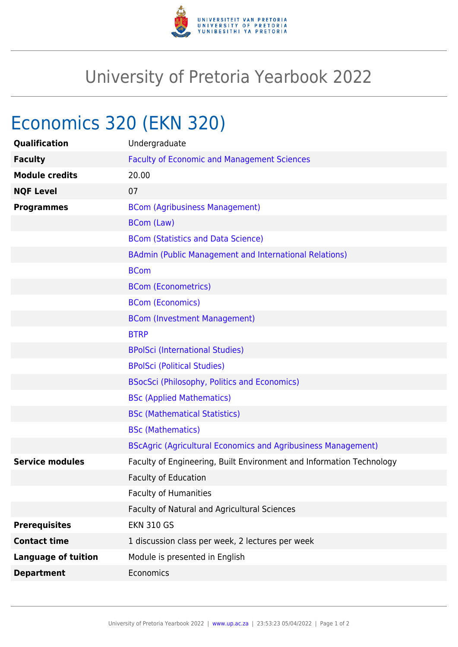

## University of Pretoria Yearbook 2022

# Economics 320 (EKN 320)

| Qualification              | Undergraduate                                                        |
|----------------------------|----------------------------------------------------------------------|
| <b>Faculty</b>             | <b>Faculty of Economic and Management Sciences</b>                   |
| <b>Module credits</b>      | 20.00                                                                |
| <b>NQF Level</b>           | 07                                                                   |
| <b>Programmes</b>          | <b>BCom (Agribusiness Management)</b>                                |
|                            | <b>BCom (Law)</b>                                                    |
|                            | <b>BCom (Statistics and Data Science)</b>                            |
|                            | <b>BAdmin (Public Management and International Relations)</b>        |
|                            | <b>BCom</b>                                                          |
|                            | <b>BCom (Econometrics)</b>                                           |
|                            | <b>BCom (Economics)</b>                                              |
|                            | <b>BCom (Investment Management)</b>                                  |
|                            | <b>BTRP</b>                                                          |
|                            | <b>BPolSci (International Studies)</b>                               |
|                            | <b>BPolSci (Political Studies)</b>                                   |
|                            | <b>BSocSci (Philosophy, Politics and Economics)</b>                  |
|                            | <b>BSc (Applied Mathematics)</b>                                     |
|                            | <b>BSc (Mathematical Statistics)</b>                                 |
|                            | <b>BSc (Mathematics)</b>                                             |
|                            | <b>BScAgric (Agricultural Economics and Agribusiness Management)</b> |
| <b>Service modules</b>     | Faculty of Engineering, Built Environment and Information Technology |
|                            | <b>Faculty of Education</b>                                          |
|                            | <b>Faculty of Humanities</b>                                         |
|                            | Faculty of Natural and Agricultural Sciences                         |
| <b>Prerequisites</b>       | <b>EKN 310 GS</b>                                                    |
| <b>Contact time</b>        | 1 discussion class per week, 2 lectures per week                     |
| <b>Language of tuition</b> | Module is presented in English                                       |
| <b>Department</b>          | Economics                                                            |
|                            |                                                                      |